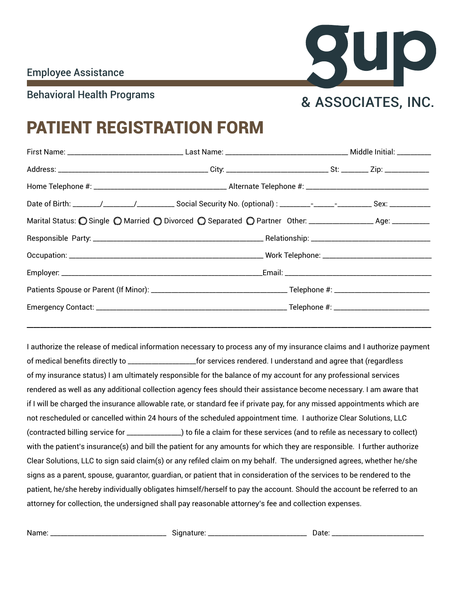Name: \_\_\_\_\_\_\_\_\_\_\_\_\_\_\_\_\_\_\_\_\_\_\_\_\_\_\_\_\_\_\_\_\_\_ Signature: \_\_\_\_\_\_\_\_\_\_\_\_\_\_\_\_\_\_\_\_\_\_\_\_\_\_\_\_\_ Date: \_\_\_\_\_\_\_\_\_\_\_\_\_\_\_\_\_\_\_\_\_\_\_\_\_\_\_



## PATIENT REGISTRATION FORM

| Date of Birth: ______/________/_________________ Social Security No. (optional) : ________-_-______________________Sex: _______________ |  |
|-----------------------------------------------------------------------------------------------------------------------------------------|--|
| Marital Status: O Single O Married O Divorced O Separated O Partner Other: ___________________ Age: __________                          |  |
|                                                                                                                                         |  |
|                                                                                                                                         |  |
|                                                                                                                                         |  |
|                                                                                                                                         |  |
|                                                                                                                                         |  |
|                                                                                                                                         |  |

I authorize the release of medical information necessary to process any of my insurance claims and I authorize payment of medical benefits directly to \_\_\_\_\_\_\_\_\_\_\_\_\_\_\_\_\_\_\_\_for services rendered. I understand and agree that (regardless of my insurance status) I am ultimately responsible for the balance of my account for any professional services rendered as well as any additional collection agency fees should their assistance become necessary. I am aware that if I will be charged the insurance allowable rate, or standard fee if private pay, for any missed appointments which are not rescheduled or cancelled within 24 hours of the scheduled appointment time. I authorize Clear Solutions, LLC (contracted billing service for \_\_\_\_\_\_\_\_\_\_\_\_\_\_\_\_) to file a claim for these services (and to refile as necessary to collect) with the patient's insurance(s) and bill the patient for any amounts for which they are responsible. I further authorize Clear Solutions, LLC to sign said claim(s) or any refiled claim on my behalf. The undersigned agrees, whether he/she signs as a parent, spouse, guarantor, guardian, or patient that in consideration of the services to be rendered to the patient, he/she hereby individually obligates himself/herself to pay the account. Should the account be referred to an attorney for collection, the undersigned shall pay reasonable attorney's fee and collection expenses.

| . . | rrr<br>יור<br>. .<br>the contract of the contract of |  |
|-----|------------------------------------------------------|--|
|-----|------------------------------------------------------|--|